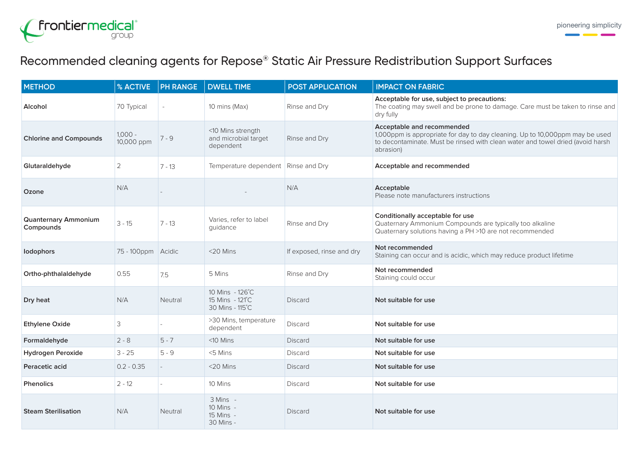

## Recommended cleaning agents for Repose® Static Air Pressure Redistribution Support Surfaces

| <b>METHOD</b>                            | % ACTIVE                | <b>PH RANGE</b> | <b>DWELL TIME</b>                                      | <b>POST APPLICATION</b>   | <b>IMPACT ON FABRIC</b>                                                                                                                                                                                   |
|------------------------------------------|-------------------------|-----------------|--------------------------------------------------------|---------------------------|-----------------------------------------------------------------------------------------------------------------------------------------------------------------------------------------------------------|
| Alcohol                                  | 70 Typical              |                 | 10 mins (Max)                                          | Rinse and Dry             | Acceptable for use, subject to precautions:<br>The coating may swell and be prone to damage. Care must be taken to rinse and<br>dry fully                                                                 |
| <b>Chlorine and Compounds</b>            | $1,000 -$<br>10,000 ppm | $7 - 9$         | <10 Mins strength<br>and microbial target<br>dependent | Rinse and Dry             | Acceptable and recommended<br>1,000ppm is appropriate for day to day cleaning. Up to 10,000ppm may be used<br>to decontaminate. Must be rinsed with clean water and towel dried (avoid harsh<br>abrasion) |
| Glutaraldehyde                           | $\overline{2}$          | $7 - 13$        | Temperature dependent                                  | Rinse and Dry             | Acceptable and recommended                                                                                                                                                                                |
| Ozone                                    | N/A                     |                 |                                                        | N/A                       | Acceptable<br>Please note manufacturers instructions                                                                                                                                                      |
| <b>Quanternary Ammonium</b><br>Compounds | $3 - 15$                | $7 - 13$        | Varies, refer to label<br>guidance                     | Rinse and Dry             | Conditionally acceptable for use<br>Quaternary Ammonium Compounds are typically too alkaline<br>Quaternary solutions having a PH >10 are not recommended                                                  |
| lodophors                                | 75 - 100ppm             | Acidic          | <20 Mins                                               | If exposed, rinse and dry | Not recommended<br>Staining can occur and is acidic, which may reduce product lifetime                                                                                                                    |
| Ortho-phthalaldehyde                     | 0.55                    | 7.5             | 5 Mins                                                 | Rinse and Dry             | Not recommended<br>Staining could occur                                                                                                                                                                   |
| Dry heat                                 | N/A                     | Neutral         | 10 Mins - 126°C<br>15 Mins - 121°C<br>30 Mins - 115°C  | Discard                   | Not suitable for use                                                                                                                                                                                      |
| <b>Ethylene Oxide</b>                    | 3                       |                 | >30 Mins, temperature<br>dependent                     | <b>Discard</b>            | Not suitable for use                                                                                                                                                                                      |
| Formaldehyde                             | $2 - 8$                 | $5 - 7$         | $<$ 10 Mins                                            | <b>Discard</b>            | Not suitable for use                                                                                                                                                                                      |
| Hydrogen Peroxide                        | $3 - 25$                | $5 - 9$         | <5 Mins                                                | <b>Discard</b>            | Not suitable for use                                                                                                                                                                                      |
| Peracetic acid                           | $0.2 - 0.35$            |                 | <20 Mins                                               | <b>Discard</b>            | Not suitable for use                                                                                                                                                                                      |
| <b>Phenolics</b>                         | $2 - 12$                |                 | 10 Mins                                                | <b>Discard</b>            | Not suitable for use                                                                                                                                                                                      |
| <b>Steam Sterilisation</b>               | N/A                     | Neutral         | 3 Mins -<br>10 Mins -<br>15 Mins -<br>30 Mins -        | <b>Discard</b>            | Not suitable for use                                                                                                                                                                                      |